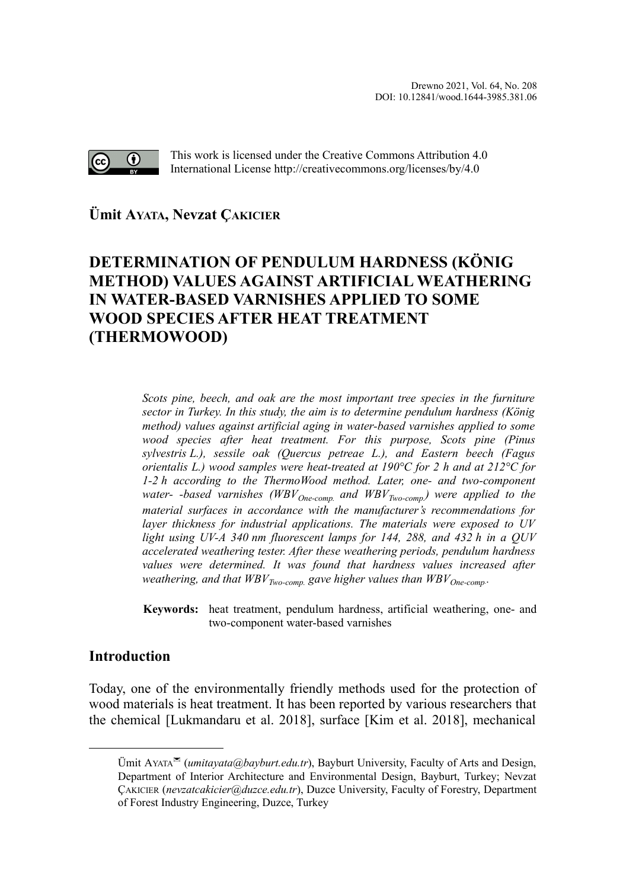

This work is licensed under the Creative Commons Attribution 4.0 International License http://creativecommons.org/licenses/by/4.0

**Ümit AYATA, Nevzat ÇAKICIE[R](#page-0-0)**

# **DETERMINATION OF PENDULUM HARDNESS (KÖNIG METHOD) VALUES AGAINST ARTIFICIAL WEATHERING IN WATER-BASED VARNISHES APPLIED TO SOME WOOD SPECIES AFTER HEAT TREATMENT (THERMOWOOD)**

*Scots pine, beech, and oak are the most important tree species in the furniture sector in Turkey. In this study, the aim is to determine pendulum hardness (König method) values against artificial aging in water-based varnishes applied to some wood species after heat treatment. For this purpose, Scots pine (Pinus sylvestris L.), sessile oak (Quercus petreae L.), and Eastern beech (Fagus orientalis L.) wood samples were heat-treated at 190°C for 2 h and at 212°C for 1-2 h according to the ThermoWood method. Later, one- and two-component water- -based varnishes (WBVOne-comp. and WBVTwo-comp.) were applied to the material surfaces in accordance with the manufacturer's recommendations for layer thickness for industrial applications. The materials were exposed to UV light using UV-A 340 nm fluorescent lamps for 144, 288, and 432 h in a QUV accelerated weathering tester. After these weathering periods, pendulum hardness values were determined. It was found that hardness values increased after weathering, and that WBVTwo-comp. gave higher values than WBVOne-comp..*

**Keywords:** heat treatment, pendulum hardness, artificial weathering, one- and two-component water-based varnishes

## **Introduction**

Today, one of the environmentally friendly methods used for the protection of wood materials is heat treatment. It has been reported by various researchers that the chemical [Lukmandaru et al. 2018], surface [Kim et al. 2018], mechanical

<span id="page-0-0"></span>Ümit AYATA (*umitayata@bayburt.edu.tr*), Bayburt University, Faculty of Arts and Design, Department of Interior Architecture and Environmental Design, Bayburt, Turkey; Nevzat ÇAKICIER (*nevzatcakicier@duzce.edu.tr*), Duzce University, Faculty of Forestry, Department of Forest Industry Engineering, Duzce, Turkey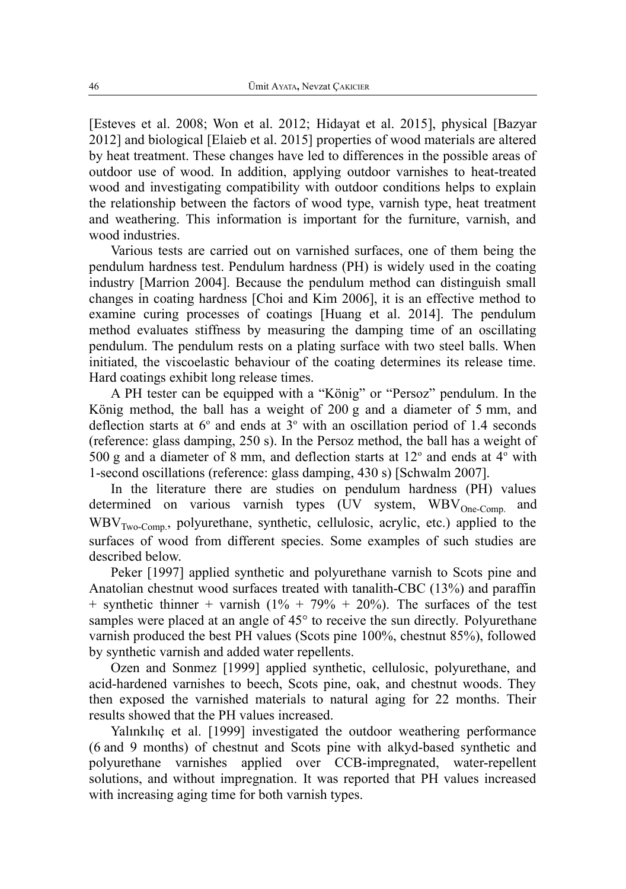[Esteves et al. 2008; Won et al. 2012; Hidayat et al. 2015], physical [Bazyar 2012] and biological [Elaieb et al. 2015] properties of wood materials are altered by heat treatment. These changes have led to differences in the possible areas of outdoor use of wood. In addition, applying outdoor varnishes to heat-treated wood and investigating compatibility with outdoor conditions helps to explain the relationship between the factors of wood type, varnish type, heat treatment and weathering. This information is important for the furniture, varnish, and wood industries.

Various tests are carried out on varnished surfaces, one of them being the pendulum hardness test. Pendulum hardness (PH) is widely used in the coating industry [Marrion 2004]. Because the pendulum method can distinguish small changes in coating hardness [Choi and Kim 2006], it is an effective method to examine curing processes of coatings [Huang et al. 2014]. The pendulum method evaluates stiffness by measuring the damping time of an oscillating pendulum. The pendulum rests on a plating surface with two steel balls. When initiated, the viscoelastic behaviour of the coating determines its release time. Hard coatings exhibit long release times.

A PH tester can be equipped with a "König" or "Persoz" pendulum. In the König method, the ball has a weight of 200 g and a diameter of 5 mm, and deflection starts at  $6^{\circ}$  and ends at  $3^{\circ}$  with an oscillation period of 1.4 seconds (reference: glass damping, 250 s). In the Persoz method, the ball has a weight of 500 g and a diameter of 8 mm, and deflection starts at  $12^{\circ}$  and ends at  $4^{\circ}$  with 1-second oscillations (reference: glass damping, 430 s) [Schwalm 2007].

In the literature there are studies on pendulum hardness (PH) values determined on various varnish types  $(\bar{U}V$  system,  $WBV_{One-Comp.}$  and WBVTwo-Comp., polyurethane, synthetic, cellulosic, acrylic, etc.) applied to the surfaces of wood from different species. Some examples of such studies are described below.

Peker [1997] applied synthetic and polyurethane varnish to Scots pine and Anatolian chestnut wood surfaces treated with tanalith-CBC (13%) and paraffin + synthetic thinner + varnish  $(1\% + 79\% + 20\%)$ . The surfaces of the test samples were placed at an angle of 45° to receive the sun directly. Polyurethane varnish produced the best PH values (Scots pine 100%, chestnut 85%), followed by synthetic varnish and added water repellents.

Ozen and Sonmez [1999] applied synthetic, cellulosic, polyurethane, and acid-hardened varnishes to beech, Scots pine, oak, and chestnut woods. They then exposed the varnished materials to natural aging for 22 months. Their results showed that the PH values increased.

Yalınkılıç et al. [1999] investigated the outdoor weathering performance (6 and 9 months) of chestnut and Scots pine with alkyd-based synthetic and polyurethane varnishes applied over CCB-impregnated, water-repellent solutions, and without impregnation. It was reported that PH values increased with increasing aging time for both varnish types.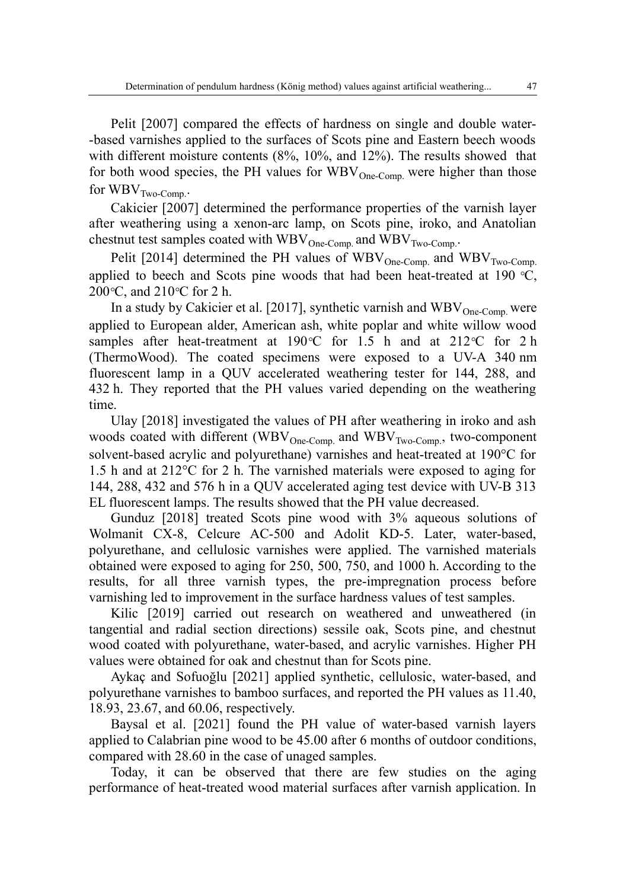Pelit [2007] compared the effects of hardness on single and double water- -based varnishes applied to the surfaces of Scots pine and Eastern beech woods with different moisture contents (8%, 10%, and 12%). The results showed that for both wood species, the PH values for  $WBV_{One-Comp.}$  were higher than those for  $WBV_{Two-Comp}$ .

Cakicier [2007] determined the performance properties of the varnish layer after weathering using a xenon-arc lamp, on Scots pine, iroko, and Anatolian chestnut test samples coated with  $WBV_{One-Comp.}$  and  $WBV_{Two-Comp.}$ .

Pelit [2014] determined the PH values of  $WBV_{One-Comp.}$  and  $WBV_{Two-Comp.}$ applied to beech and Scots pine woods that had been heat-treated at 190 *°*C, 200*°*C, and 210*°*C for 2 h.

In a study by Cakicier et al. [2017], synthetic varnish and  $WBV_{One-Comp}$  were applied to European alder, American ash, white poplar and white willow wood samples after heat-treatment at 190*°*C for 1.5 h and at 212*°*C for 2 h (ThermoWood). The coated specimens were exposed to a UV-A 340 nm fluorescent lamp in a QUV accelerated weathering tester for 144, 288, and 432 h. They reported that the PH values varied depending on the weathering time.

Ulay [2018] investigated the values of PH after weathering in iroko and ash woods coated with different (WBV $_{One-Comp.}$  and WBV $_{Two-Comp.}$ , two-component solvent-based acrylic and polyurethane) varnishes and heat-treated at 190°C for 1.5 h and at 212°C for 2 h. The varnished materials were exposed to aging for 144, 288, 432 and 576 h in a QUV accelerated aging test device with UV-B 313 EL fluorescent lamps. The results showed that the PH value decreased.

Gunduz [2018] treated Scots pine wood with 3% aqueous solutions of Wolmanit CX-8, Celcure AC-500 and Adolit KD-5. Later, water-based, polyurethane, and cellulosic varnishes were applied. The varnished materials obtained were exposed to aging for 250, 500, 750, and 1000 h. According to the results, for all three varnish types, the pre-impregnation process before varnishing led to improvement in the surface hardness values of test samples.

Kilic [2019] carried out research on weathered and unweathered (in tangential and radial section directions) sessile oak, Scots pine, and chestnut wood coated with polyurethane, water-based, and acrylic varnishes. Higher PH values were obtained for oak and chestnut than for Scots pine.

Aykaç and Sofuoğlu [2021] applied synthetic, cellulosic, water-based, and polyurethane varnishes to bamboo surfaces, and reported the PH values as 11.40, 18.93, 23.67, and 60.06, respectively.

Baysal et al. [2021] found the PH value of water-based varnish layers applied to Calabrian pine wood to be 45.00 after 6 months of outdoor conditions, compared with 28.60 in the case of unaged samples.

Today, it can be observed that there are few studies on the aging performance of heat-treated wood material surfaces after varnish application. In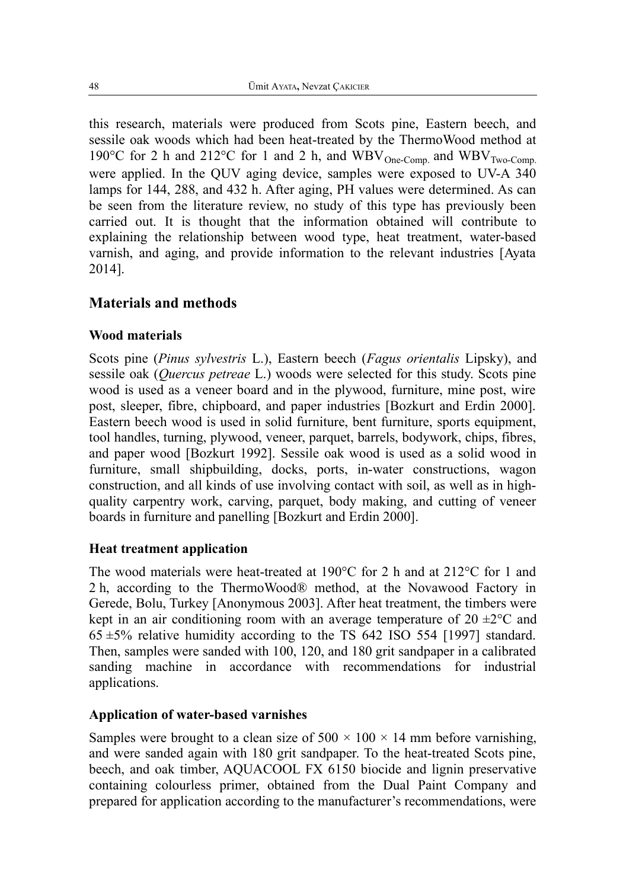this research, materials were produced from Scots pine, Eastern beech, and sessile oak woods which had been heat-treated by the ThermoWood method at 190°C for 2 h and 212°C for 1 and 2 h, and  $WBV_{One-Comp.}$  and  $WBV_{Two-Comp.}$ were applied. In the QUV aging device, samples were exposed to UV-A 340 lamps for 144, 288, and 432 h. After aging, PH values were determined. As can be seen from the literature review, no study of this type has previously been carried out. It is thought that the information obtained will contribute to explaining the relationship between wood type, heat treatment, water-based varnish, and aging, and provide information to the relevant industries [Ayata 2014].

## **Materials and methods**

### **Wood materials**

Scots pine (*Pinus sylvestris* L.), Eastern beech (*Fagus orientalis* Lipsky), and sessile oak (*Quercus petreae* L.) woods were selected for this study. Scots pine wood is used as a veneer board and in the plywood, furniture, mine post, wire post, sleeper, fibre, chipboard, and paper industries [Bozkurt and Erdin 2000]. Eastern beech wood is used in solid furniture, bent furniture, sports equipment, tool handles, turning, plywood, veneer, parquet, barrels, bodywork, chips, fibres, and paper wood [Bozkurt 1992]. Sessile oak wood is used as a solid wood in furniture, small shipbuilding, docks, ports, in-water constructions, wagon construction, and all kinds of use involving contact with soil, as well as in highquality carpentry work, carving, parquet, body making, and cutting of veneer boards in furniture and panelling [Bozkurt and Erdin 2000].

### **Heat treatment application**

The wood materials were heat-treated at 190°C for 2 h and at 212°C for 1 and 2 h, according to the ThermoWood® method, at the Novawood Factory in Gerede, Bolu, Turkey [Anonymous 2003]. After heat treatment, the timbers were kept in an air conditioning room with an average temperature of  $20 \pm 2^{\circ}$ C and  $65 \pm 5\%$  relative humidity according to the TS 642 ISO 554 [1997] standard. Then, samples were sanded with 100, 120, and 180 grit sandpaper in a calibrated sanding machine in accordance with recommendations for industrial applications.

### **Application of water-based varnishes**

Samples were brought to a clean size of  $500 \times 100 \times 14$  mm before varnishing, and were sanded again with 180 grit sandpaper. To the heat-treated Scots pine, beech, and oak timber, AQUACOOL FX 6150 biocide and lignin preservative containing colourless primer, obtained from the Dual Paint Company and prepared for application according to the manufacturer's recommendations, were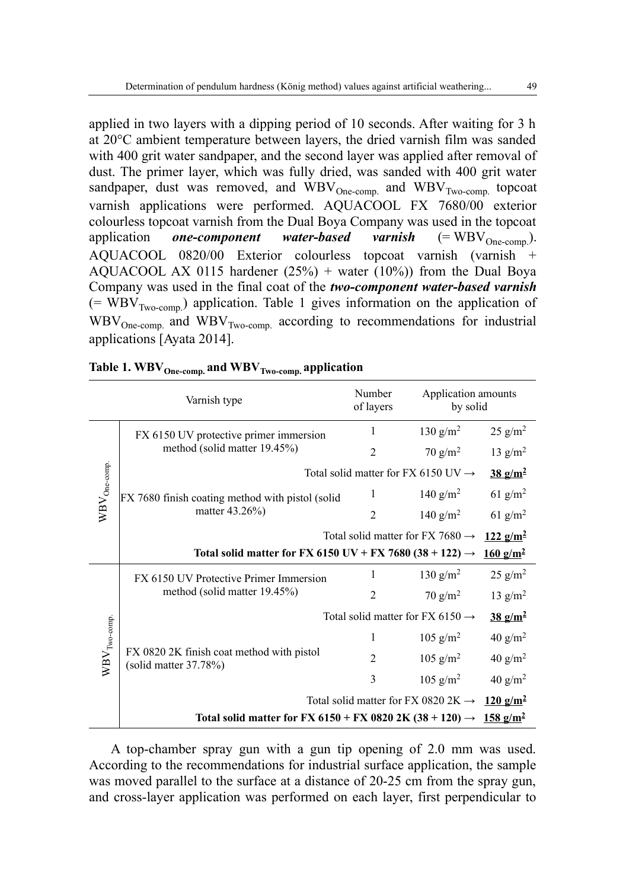applied in two layers with a dipping period of 10 seconds. After waiting for 3 h at 20°C ambient temperature between layers, the dried varnish film was sanded with 400 grit water sandpaper, and the second layer was applied after removal of dust. The primer layer, which was fully dried, was sanded with 400 grit water sandpaper, dust was removed, and  $WBV_{One-comp.}$  and  $WBV_{Two-comp.}$  topcoat varnish applications were performed. AQUACOOL FX 7680/00 exterior colourless topcoat varnish from the Dual Boya Company was used in the topcoat application *one-component* water-based varnish  $(= WBV_{One-comn}).$ AQUACOOL 0820/00 Exterior colourless topcoat varnish (varnish + AOUACOOL AX 0115 hardener  $(25%)$  + water  $(10%)$  from the Dual Boya Company was used in the final coat of the *two-component water-based varnish* (= WBV<sub>Two-comp</sub>) application. Table 1 gives information on the application of  $WBV_{One-comp.}$  and  $WBV_{Two-comp.}$  according to recommendations for industrial applications [Ayata 2014].

|                   | Varnish type                                                         | Number<br>of layers | Application amounts<br>by solid                 |                                        |
|-------------------|----------------------------------------------------------------------|---------------------|-------------------------------------------------|----------------------------------------|
|                   | FX 6150 UV protective primer immersion                               | 1                   | 130 $g/m^2$                                     | $25$ g/m <sup>2</sup>                  |
|                   | method (solid matter 19.45%)                                         | $\overline{2}$      | $70$ g/m <sup>2</sup>                           | 13 $g/m2$                              |
| $WBV_{One-comp.}$ |                                                                      |                     | Total solid matter for FX 6150 UV $\rightarrow$ | $\frac{38 \text{ g/m}^2}{ }$           |
|                   | FX 7680 finish coating method with pistol (solid                     | 1                   | 140 g/m <sup>2</sup>                            | 61 g/m <sup>2</sup>                    |
|                   | matter 43.26%)                                                       | $\overline{2}$      | 140 $g/m^2$                                     | 61 $g/m^2$                             |
|                   |                                                                      |                     | Total solid matter for FX 7680 $\rightarrow$    | $122 g/m^2$                            |
|                   | Total solid matter for FX 6150 UV + FX 7680 (38 + 122) $\rightarrow$ |                     |                                                 | $\frac{160 \text{ g/m}^2}{\text{m}^2}$ |
|                   | FX 6150 UV Protective Primer Immersion                               | 1                   | 130 g/m <sup>2</sup>                            | $25$ g/m <sup>2</sup>                  |
|                   | method (solid matter 19.45%)                                         | $\overline{2}$      | $70$ g/m <sup>2</sup>                           | 13 $g/m2$                              |
|                   |                                                                      |                     | Total solid matter for FX 6150 $\rightarrow$    | $\frac{38 \text{ g/m}^2}{ }$           |
| $WBV_{Two-comp.}$ |                                                                      | 1                   | $105$ g/m <sup>2</sup>                          | 40 g/m <sup>2</sup>                    |
|                   | FX 0820 2K finish coat method with pistol<br>(solid matter 37.78%)   | $\overline{2}$      | $105$ g/m <sup>2</sup>                          | 40 $g/m2$                              |
|                   |                                                                      | 3                   | $105$ g/m <sup>2</sup>                          | 40 $g/m2$                              |
|                   |                                                                      |                     | Total solid matter for FX 0820 2K $\rightarrow$ | $120 \text{ g/m}^2$                    |
|                   | Total solid matter for FX 6150 + FX 0820 2K (38 + 120) $\rightarrow$ |                     |                                                 | $158 \text{ g/m}^2$                    |

| Table 1. $\text{WBV}_{\text{One-comp.}}$ and $\text{WBV}_{\text{Two-comp.}}$ application |  |  |
|------------------------------------------------------------------------------------------|--|--|
|------------------------------------------------------------------------------------------|--|--|

A top-chamber spray gun with a gun tip opening of 2.0 mm was used. According to the recommendations for industrial surface application, the sample was moved parallel to the surface at a distance of 20-25 cm from the spray gun, and cross-layer application was performed on each layer, first perpendicular to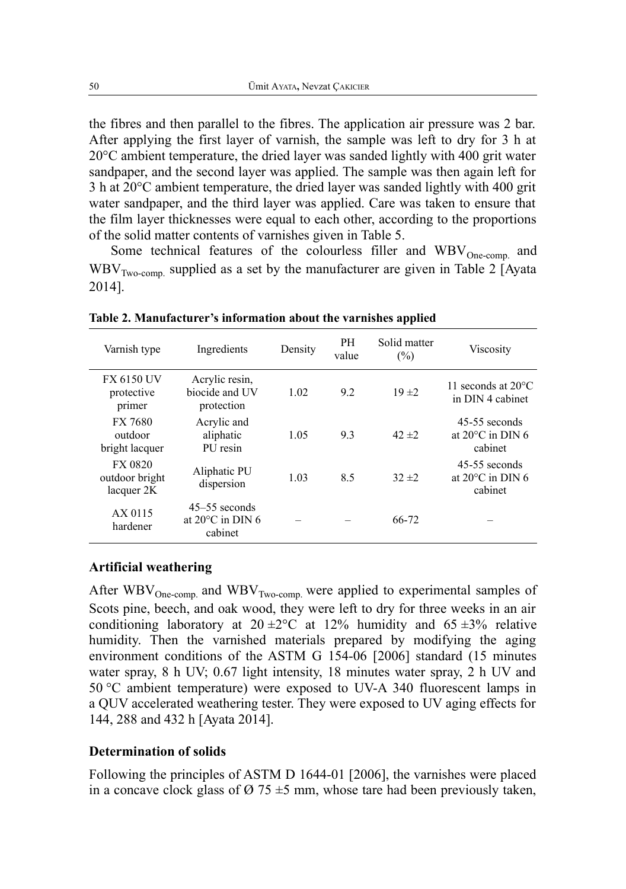the fibres and then parallel to the fibres. The application air pressure was 2 bar. After applying the first layer of varnish, the sample was left to dry for 3 h at 20°C ambient temperature, the dried layer was sanded lightly with 400 grit water sandpaper, and the second layer was applied. The sample was then again left for 3 h at 20°C ambient temperature, the dried layer was sanded lightly with 400 grit water sandpaper, and the third layer was applied. Care was taken to ensure that the film layer thicknesses were equal to each other, according to the proportions of the solid matter contents of varnishes given in Table 5.

Some technical features of the colourless filler and  $WBV_{One-comp.}$  and  $WBV_{Two-comp}$  supplied as a set by the manufacturer are given in Table 2 [Ayata 2014].

| Varnish type                                   | Ingredients                                              | Density | PH<br>value | Solid matter<br>(%) | <b>Viscosity</b>                                         |
|------------------------------------------------|----------------------------------------------------------|---------|-------------|---------------------|----------------------------------------------------------|
| <b>FX 6150 UV</b><br>protective<br>primer      | Acrylic resin,<br>biocide and UV<br>protection           | 1.02    | 9.2         | 19 ± 2              | 11 seconds at $20^{\circ}$ C<br>in DIN 4 cabinet         |
| FX 7680<br>outdoor<br>bright lacquer           | Acrylic and<br>aliphatic<br>PU resin                     | 1.05    | 9.3         | $42 \pm 2$          | 45-55 seconds<br>at $20^{\circ}$ C in DIN 6<br>cabinet   |
| <b>FX 0820</b><br>outdoor bright<br>lacquer 2K | Aliphatic PU<br>dispersion                               | 1.03    | 8.5         | $32 + 2$            | $45-55$ seconds<br>at $20^{\circ}$ C in DIN 6<br>cabinet |
| AX 0115<br>hardener                            | $45-55$ seconds<br>at $20^{\circ}$ C in DIN 6<br>cabinet |         |             | 66-72               |                                                          |

**Table 2. Manufacturer's information about the varnishes applied**

### **Artificial weathering**

After  $WBV_{One-comp.}$  and  $WBV_{Two-comp.}$  were applied to experimental samples of Scots pine, beech, and oak wood, they were left to dry for three weeks in an air conditioning laboratory at  $20 \pm 2^{\circ}$  c at 12% humidity and 65  $\pm 3\%$  relative humidity. Then the varnished materials prepared by modifying the aging environment conditions of the ASTM G 154-06 [2006] standard (15 minutes water spray, 8 h UV; 0.67 light intensity, 18 minutes water spray, 2 h UV and 50 °C ambient temperature) were exposed to UV-A 340 fluorescent lamps in a QUV accelerated weathering tester. They were exposed to UV aging effects for 144, 288 and 432 h [Ayata 2014].

#### **Determination of solids**

Following the principles of ASTM D 1644-01 [2006], the varnishes were placed in a concave clock glass of  $\varnothing$  75  $\pm$ 5 mm, whose tare had been previously taken,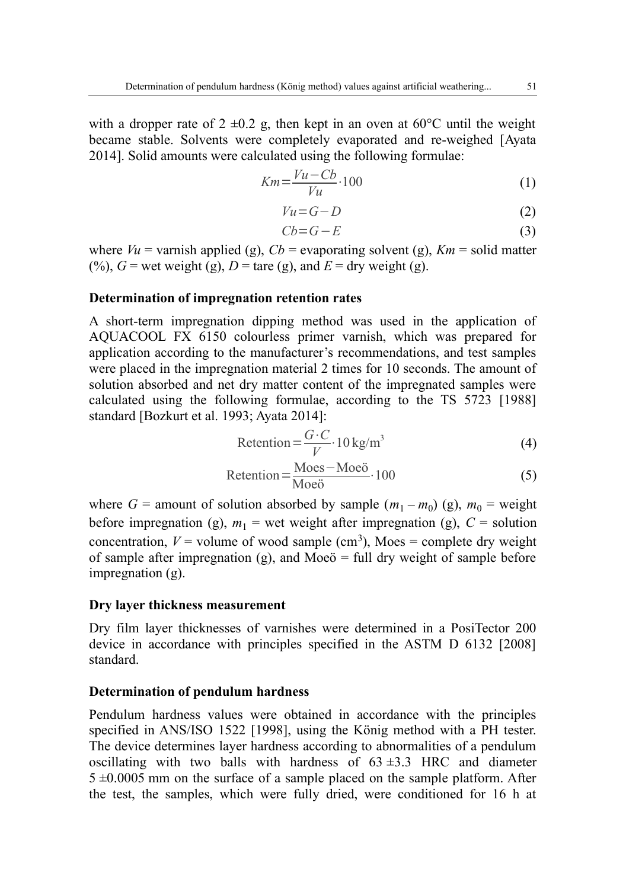with a dropper rate of  $2 \pm 0.2$  g, then kept in an oven at 60°C until the weight became stable. Solvents were completely evaporated and re-weighed [Ayata 2014]. Solid amounts were calculated using the following formulae:

$$
Km = \frac{Vu - Cb}{Vu} \cdot 100\tag{1}
$$

$$
Vu = G - D \tag{2}
$$

$$
Cb = G - E \tag{3}
$$

where  $Vu =$  varnish applied (g),  $Cb =$  evaporating solvent (g),  $Km =$  solid matter (%),  $G$  = wet weight (g),  $D$  = tare (g), and  $E$  = dry weight (g).

#### **Determination of impregnation retention rates**

A short-term impregnation dipping method was used in the application of AQUACOOL FX 6150 colourless primer varnish, which was prepared for application according to the manufacturer's recommendations, and test samples were placed in the impregnation material 2 times for 10 seconds. The amount of solution absorbed and net dry matter content of the impregnated samples were calculated using the following formulae, according to the TS 5723 [1988] standard [Bozkurt et al. 1993; Ayata 2014]:

$$
Retention = \frac{G \cdot C}{V} \cdot 10 \text{ kg/m}^3 \tag{4}
$$

$$
Retention = \frac{Moes - Moe\ddot{o}}{Moe\ddot{o}} \cdot 100\tag{5}
$$

where  $G =$  amount of solution absorbed by sample  $(m_1 - m_0)$  (g),  $m_0 =$  weight before impregnation (g),  $m_1$  = wet weight after impregnation (g),  $C$  = solution concentration,  $V =$  volume of wood sample (cm<sup>3</sup>), Moes = complete dry weight of sample after impregnation (g), and Moe $\ddot{o}$  = full dry weight of sample before impregnation (g).

#### **Dry layer thickness measurement**

Dry film layer thicknesses of varnishes were determined in a PosiTector 200 device in accordance with principles specified in the ASTM D 6132 [2008] standard.

### **Determination of pendulum hardness**

Pendulum hardness values were obtained in accordance with the principles specified in ANS/ISO 1522 [1998], using the König method with a PH tester. The device determines layer hardness according to abnormalities of a pendulum oscillating with two balls with hardness of  $63 \pm 3.3$  HRC and diameter  $5 \pm 0.0005$  mm on the surface of a sample placed on the sample platform. After the test, the samples, which were fully dried, were conditioned for 16 h at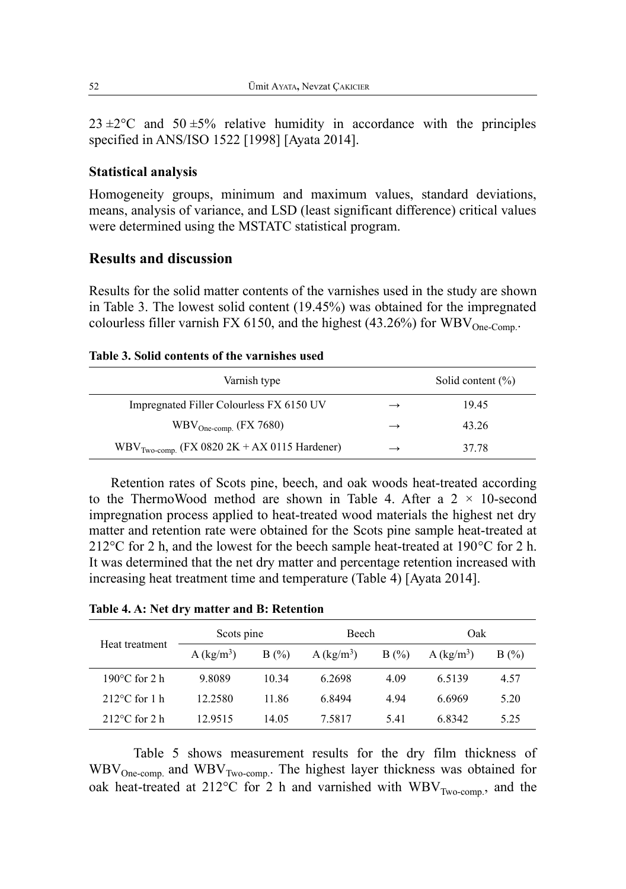$23 \pm 2^{\circ}$ C and  $50 \pm 5\%$  relative humidity in accordance with the principles specified in ANS/ISO 1522 [1998] [Ayata 2014].

#### **Statistical analysis**

Homogeneity groups, minimum and maximum values, standard deviations, means, analysis of variance, and LSD (least significant difference) critical values were determined using the MSTATC statistical program.

### **Results and discussion**

Results for the solid matter contents of the varnishes used in the study are shown in Table 3. The lowest solid content (19.45%) was obtained for the impregnated colourless filler varnish FX 6150, and the highest (43.26%) for  $WBV_{One-Comm}$ .

#### **Table 3. Solid contents of the varnishes used**

| Varnish type                                   |               | Solid content $(\% )$ |
|------------------------------------------------|---------------|-----------------------|
| Impregnated Filler Colourless FX 6150 UV       | $\rightarrow$ | 19.45                 |
| $WBV_{One\text{-comp.}}$ (FX 7680)             | $\rightarrow$ | 43.26                 |
| $WBVTwo-comp. (FX 0820 2K + AX 0115 Hardener)$ | $\rightarrow$ | 37.78                 |

Retention rates of Scots pine, beech, and oak woods heat-treated according to the ThermoWood method are shown in Table 4. After a  $2 \times 10$ -second impregnation process applied to heat-treated wood materials the highest net dry matter and retention rate were obtained for the Scots pine sample heat-treated at 212°C for 2 h, and the lowest for the beech sample heat-treated at 190°C for 2 h. It was determined that the net dry matter and percentage retention increased with increasing heat treatment time and temperature (Table 4) [Ayata 2014].

|--|

| Heat treatment          | Scots pine             |         | <b>Beech</b>           |      | Oak                      |         |
|-------------------------|------------------------|---------|------------------------|------|--------------------------|---------|
|                         | A (kg/m <sup>3</sup> ) | $B(\%)$ | A (kg/m <sup>3</sup> ) | B(%) | $A$ (kg/m <sup>3</sup> ) | $B(\%)$ |
| 190 $\degree$ C for 2 h | 9.8089                 | 10.34   | 6.2698                 | 4.09 | 6.5139                   | 4.57    |
| $212^{\circ}$ C for 1 h | 12.2580                | 11.86   | 6.8494                 | 4.94 | 6.6969                   | 5.20    |
| $212^{\circ}$ C for 2 h | 12.9515                | 14.05   | 7.5817                 | 5.41 | 6.8342                   | 5.25    |

Table 5 shows measurement results for the dry film thickness of  $WBV_{One-comp.}$  and  $WBV_{Two-comp.}$  The highest layer thickness was obtained for oak heat-treated at 212°C for 2 h and varnished with  $WBV_{Two-comp, \, \, \cdot}$  and the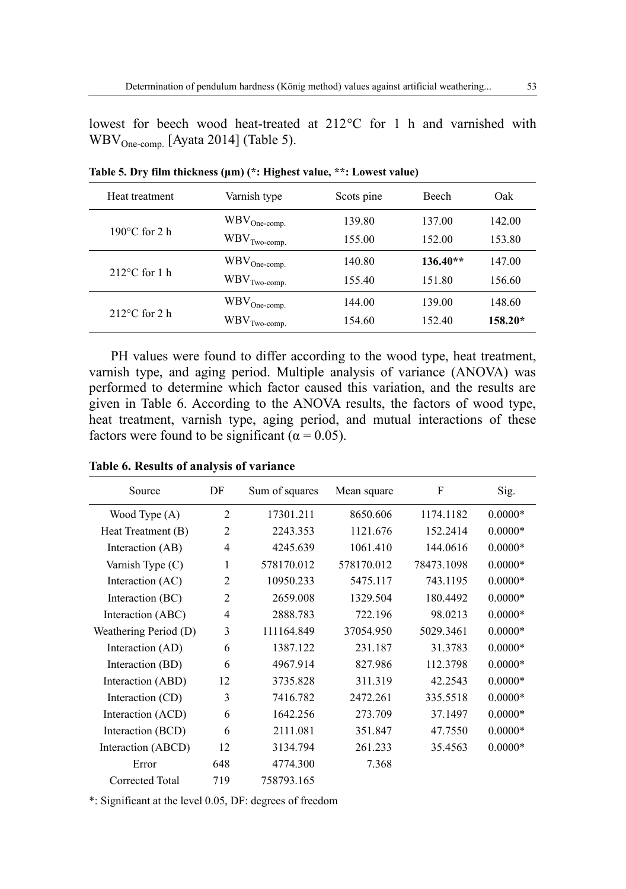lowest for beech wood heat-treated at 212°C for 1 h and varnished with  $WBV_{One-comn}$  [Ayata 2014] (Table 5).

| Heat treatment          | Varnish type                    | Scots pine | <b>Beech</b> | Oak       |
|-------------------------|---------------------------------|------------|--------------|-----------|
|                         | $WBV_{One\text{-comp.}}$        | 139.80     | 137.00       | 142.00    |
| $190^{\circ}$ C for 2 h | $\text{WBV}_{\text{Two-comp.}}$ | 155.00     | 152.00       | 153.80    |
|                         | $\text{WBV}_{\text{One-comp.}}$ | 140.80     | $136.40**$   | 147.00    |
| $212^{\circ}$ C for 1 h | $\text{WBV}_{\text{Two-comp.}}$ | 155.40     | 151.80       | 156.60    |
|                         | $\text{WBV}_{\text{One-comp.}}$ | 144.00     | 139.00       | 148.60    |
| $212^{\circ}$ C for 2 h | $\text{WBV}_{\text{Two-comp.}}$ | 154.60     | 152.40       | $158.20*$ |

**Table 5. Dry film thickness (μm) (\*: Highest value, \*\*: Lowest value)**

PH values were found to differ according to the wood type, heat treatment, varnish type, and aging period. Multiple analysis of variance (ANOVA) was performed to determine which factor caused this variation, and the results are given in Table 6. According to the ANOVA results, the factors of wood type, heat treatment, varnish type, aging period, and mutual interactions of these factors were found to be significant ( $\alpha$  = 0.05).

| Source                | DF             | Sum of squares | Mean square | F          | Sig.      |
|-----------------------|----------------|----------------|-------------|------------|-----------|
| Wood Type (A)         | $\overline{2}$ | 17301.211      | 8650.606    | 1174.1182  | $0.0000*$ |
| Heat Treatment (B)    | $\mathfrak{D}$ | 2243.353       | 1121.676    | 152.2414   | $0.0000*$ |
| Interaction (AB)      | 4              | 4245.639       | 1061.410    | 144.0616   | $0.0000*$ |
| Varnish Type (C)      | 1              | 578170.012     | 578170.012  | 78473.1098 | $0.0000*$ |
| Interaction (AC)      | $\overline{c}$ | 10950.233      | 5475.117    | 743.1195   | $0.0000*$ |
| Interaction (BC)      | $\mathfrak{D}$ | 2659.008       | 1329.504    | 180.4492   | $0.0000*$ |
| Interaction (ABC)     | 4              | 2888.783       | 722.196     | 98.0213    | $0.0000*$ |
| Weathering Period (D) | 3              | 111164.849     | 37054.950   | 5029.3461  | $0.0000*$ |
| Interaction (AD)      | 6              | 1387.122       | 231.187     | 31.3783    | $0.0000*$ |
| Interaction (BD)      | 6              | 4967.914       | 827.986     | 112.3798   | $0.0000*$ |
| Interaction (ABD)     | 12             | 3735.828       | 311.319     | 42.2543    | $0.0000*$ |
| Interaction (CD)      | 3              | 7416.782       | 2472.261    | 335.5518   | $0.0000*$ |
| Interaction (ACD)     | 6              | 1642.256       | 273.709     | 37.1497    | $0.0000*$ |
| Interaction (BCD)     | 6              | 2111.081       | 351.847     | 47.7550    | $0.0000*$ |
| Interaction (ABCD)    | 12             | 3134.794       | 261.233     | 35.4563    | $0.0000*$ |
| Error                 | 648            | 4774.300       | 7.368       |            |           |
| Corrected Total       | 719            | 758793.165     |             |            |           |

**Table 6. Results of analysis of variance**

\*: Significant at the level 0.05, DF: degrees of freedom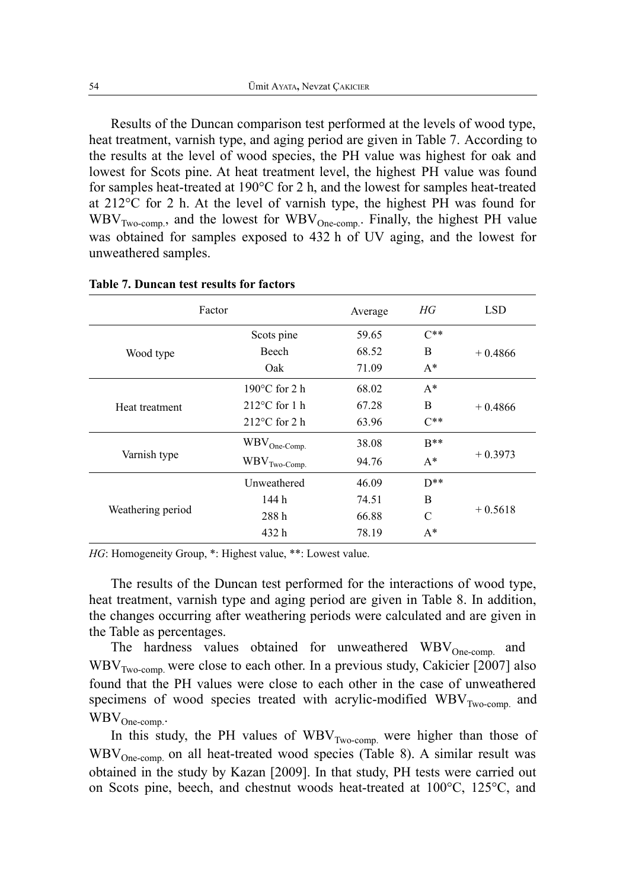Results of the Duncan comparison test performed at the levels of wood type, heat treatment, varnish type, and aging period are given in Table 7. According to the results at the level of wood species, the PH value was highest for oak and lowest for Scots pine. At heat treatment level, the highest PH value was found for samples heat-treated at 190°C for 2 h, and the lowest for samples heat-treated at  $212^{\circ}$ C for 2 h. At the level of varnish type, the highest PH was found for  $WBV_{Two-comp.}$ , and the lowest for  $WBV_{One-comp.}$ . Finally, the highest PH value was obtained for samples exposed to 432 h of UV aging, and the lowest for unweathered samples.

| Factor            |                                 | Average | HG            | <b>LSD</b> |
|-------------------|---------------------------------|---------|---------------|------------|
|                   | Scots pine                      | 59.65   | $C**$         |            |
| Wood type         | <b>Beech</b>                    | 68.52   | <sub>B</sub>  | $+0.4866$  |
|                   | Oak                             | 71.09   | $A^*$         |            |
|                   | $190^{\circ}$ C for 2 h         | 68.02   | $A^*$         |            |
| Heat treatment    | $212^{\circ}$ C for 1 h         | 67.28   | <sub>B</sub>  | $+0.4866$  |
|                   | $212^{\circ}$ C for 2 h         | 63.96   | $C^{**}$      |            |
|                   | $\text{WBV}_{\text{One-Comp.}}$ | 38.08   | $R^{**}$      |            |
| Varnish type      | $WBV$ <sub>Two-Comp.</sub>      | 94.76   | $A^*$         | $+0.3973$  |
|                   | Unweathered                     | 46.09   | $D**$         |            |
|                   | 144 h                           | 74.51   | B             |            |
| Weathering period | 288h                            | 66.88   | $\mathcal{C}$ | $+0.5618$  |
|                   | 432 h                           | 78.19   | $A^*$         |            |

#### **Table 7. Duncan test results for factors**

*HG*: Homogeneity Group, \*: Highest value, \*\*: Lowest value.

The results of the Duncan test performed for the interactions of wood type, heat treatment, varnish type and aging period are given in Table 8. In addition, the changes occurring after weathering periods were calculated and are given in the Table as percentages.

The hardness values obtained for unweathered WBV<sub>One-comp.</sub> and  $WBV_{Two-comn}$  were close to each other. In a previous study, Cakicier [2007] also found that the PH values were close to each other in the case of unweathered specimens of wood species treated with acrylic-modified  $WBV_{Two-comp.}$  and  $WBV_{One-comp.}$ 

In this study, the PH values of  $WBV_{Two-comp.}$  were higher than those of  $WBV_{One-comp.}$  on all heat-treated wood species (Table 8). A similar result was obtained in the study by Kazan [2009]. In that study, PH tests were carried out on Scots pine, beech, and chestnut woods heat-treated at 100°C, 125°C, and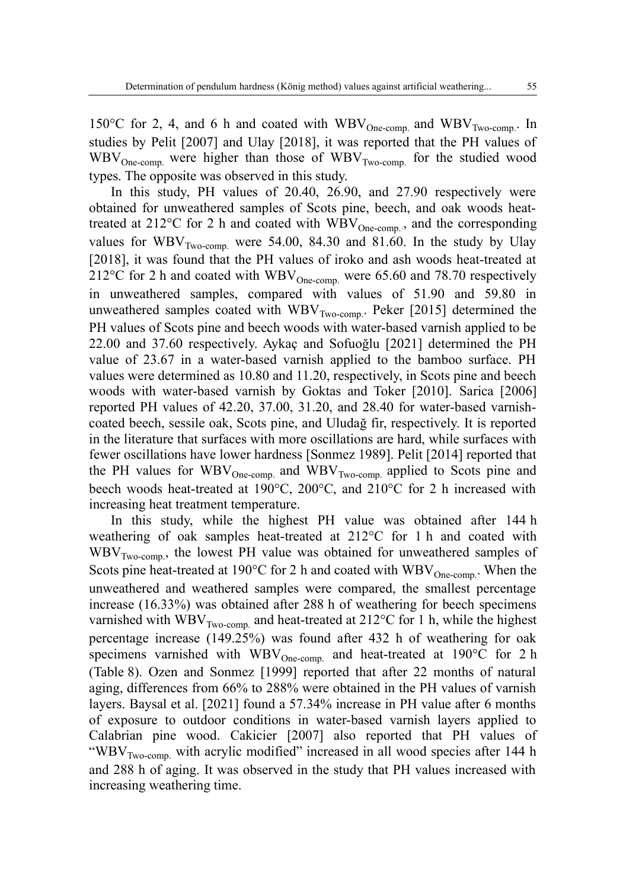150°C for 2, 4, and 6 h and coated with  $WBV_{One-comp.}$  and  $WBV_{Two-comp.}$  In studies by Pelit [2007] and Ulay [2018], it was reported that the PH values of  $WBV_{One-comp.}$  were higher than those of  $WBV_{Two-comp.}$  for the studied wood types. The opposite was observed in this study.

In this study, PH values of 20.40, 26.90, and 27.90 respectively were obtained for unweathered samples of Scots pine, beech, and oak woods heattreated at 212°C for 2 h and coated with  $\overline{WBV}_{One-comn}$ , and the corresponding values for  $WBV<sub>Two-comp.</sub>$  were 54.00, 84.30 and 81.60. In the study by Ulay [2018], it was found that the PH values of iroko and ash woods heat-treated at 212°C for 2 h and coated with  $WBV_{One-comp.}$  were 65.60 and 78.70 respectively in unweathered samples, compared with values of 51.90 and 59.80 in unweathered samples coated with  $WBV_{Two-comp.}$  Peker [2015] determined the PH values of Scots pine and beech woods with water-based varnish applied to be 22.00 and 37.60 respectively. Aykaç and Sofuoğlu [2021] determined the PH value of 23.67 in a water-based varnish applied to the bamboo surface. PH values were determined as 10.80 and 11.20, respectively, in Scots pine and beech woods with water-based varnish by Goktas and Toker [2010]. Sarica [2006] reported PH values of 42.20, 37.00, 31.20, and 28.40 for water-based varnishcoated beech, sessile oak, Scots pine, and Uludağ fir, respectively. It is reported in the literature that surfaces with more oscillations are hard, while surfaces with fewer oscillations have lower hardness [Sonmez 1989]. Pelit [2014] reported that the PH values for  $WBV_{One-comp.}$  and  $WBV_{Two-comp.}$  applied to Scots pine and beech woods heat-treated at 190°C, 200°C, and 210°C for 2 h increased with increasing heat treatment temperature.

In this study, while the highest PH value was obtained after 144 h weathering of oak samples heat-treated at 212°C for 1 h and coated with WBV<sub>Two-comp.</sub>, the lowest PH value was obtained for unweathered samples of Scots pine heat-treated at 190 $^{\circ}$ C for 2 h and coated with WBV<sub>One-comp.</sub> When the unweathered and weathered samples were compared, the smallest percentage increase (16.33%) was obtained after 288 h of weathering for beech specimens varnished with  $WBV_{Two\text{-comp.}}$  and heat-treated at 212°C for 1 h, while the highest percentage increase (149.25%) was found after 432 h of weathering for oak specimens varnished with  $WBV<sub>One-comp.</sub>$  and heat-treated at 190°C for 2 h (Table 8). Ozen and Sonmez [1999] reported that after 22 months of natural aging, differences from 66% to 288% were obtained in the PH values of varnish layers. Baysal et al. [2021] found a 57.34% increase in PH value after 6 months of exposure to outdoor conditions in water-based varnish layers applied to Calabrian pine wood. Cakicier [2007] also reported that PH values of "WBV $_{\text{Two-comp.}}$  with acrylic modified" increased in all wood species after 144 h and 288 h of aging. It was observed in the study that PH values increased with increasing weathering time.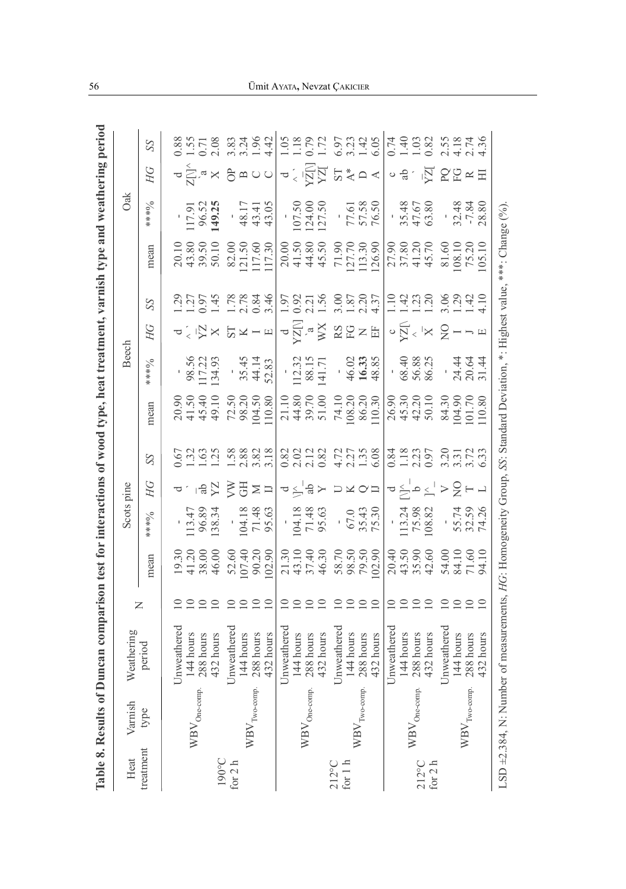|                 | Table 8. Results of 1                          | Duncan comparison test 1                                                             |                                              |                                                         |                                                                                                                                                                                                                                                                     |               |                                                                |                                                                                                                                                                                                                                                                                               |              |                                                                                                                                 |                                                                                                                                                                                                                                                                                                               | interactions of wood type, heat treatment, varnish type and       |                                                                                                                                                                                                                                | weathering perio |    |
|-----------------|------------------------------------------------|--------------------------------------------------------------------------------------|----------------------------------------------|---------------------------------------------------------|---------------------------------------------------------------------------------------------------------------------------------------------------------------------------------------------------------------------------------------------------------------------|---------------|----------------------------------------------------------------|-----------------------------------------------------------------------------------------------------------------------------------------------------------------------------------------------------------------------------------------------------------------------------------------------|--------------|---------------------------------------------------------------------------------------------------------------------------------|---------------------------------------------------------------------------------------------------------------------------------------------------------------------------------------------------------------------------------------------------------------------------------------------------------------|-------------------------------------------------------------------|--------------------------------------------------------------------------------------------------------------------------------------------------------------------------------------------------------------------------------|------------------|----|
| Heat            | Varnish                                        | Weathering                                                                           |                                              |                                                         | Scots pine                                                                                                                                                                                                                                                          |               |                                                                |                                                                                                                                                                                                                                                                                               | <b>Beech</b> |                                                                                                                                 |                                                                                                                                                                                                                                                                                                               |                                                                   | Oak                                                                                                                                                                                                                            |                  |    |
| treatment       | type                                           | period                                                                               | Z                                            | mean                                                    | $8*8*$                                                                                                                                                                                                                                                              | HG            | SS                                                             | mean                                                                                                                                                                                                                                                                                          | $6****$      | HG                                                                                                                              | SS                                                                                                                                                                                                                                                                                                            | mean                                                              | $6****$                                                                                                                                                                                                                        | HG               | SS |
|                 |                                                | Unweathered                                                                          |                                              |                                                         |                                                                                                                                                                                                                                                                     |               |                                                                |                                                                                                                                                                                                                                                                                               |              |                                                                                                                                 |                                                                                                                                                                                                                                                                                                               |                                                                   |                                                                                                                                                                                                                                |                  |    |
|                 | $WBV_{One-comp.}$                              | 144 hours                                                                            |                                              |                                                         |                                                                                                                                                                                                                                                                     |               |                                                                |                                                                                                                                                                                                                                                                                               |              |                                                                                                                                 |                                                                                                                                                                                                                                                                                                               |                                                                   |                                                                                                                                                                                                                                |                  |    |
|                 |                                                | 288 hours                                                                            |                                              |                                                         |                                                                                                                                                                                                                                                                     |               |                                                                |                                                                                                                                                                                                                                                                                               |              |                                                                                                                                 |                                                                                                                                                                                                                                                                                                               |                                                                   |                                                                                                                                                                                                                                |                  |    |
| 190°C           |                                                | 432 hours                                                                            | 222                                          | 19.30<br>41.2000<br>48.000<br>46.001.200<br>107.2002.90 | $\begin{array}{r} \n 113.47 \\  \hline\n 96.89 \\  \hline\n 138.34 \\  \hline\n 71.48 \\  \hline\n 71.48 \\  \hline\n 95.63\n \end{array}$                                                                                                                          | ㅋ1 : !을것 홋팡 = | 0.673<br>0.71.673<br>0.8882.71.67.71.71                        | 20.90<br>445.10<br>449.10.2001<br>72.50<br>20.10.80<br>10.80                                                                                                                                                                                                                                  |              | <b>a &lt; うび × い × ー 日</b>                                                                                                      | $1.257$<br>$1.254$<br>$1.354$<br>$1.758$<br>$1.758$<br>$1.758$<br>$1.684$                                                                                                                                                                                                                                     | 20.10<br>43.80<br>59.50<br>50.10<br>50.117.50<br>117.30<br>117.30 |                                                                                                                                                                                                                                |                  |    |
| for $2 h$       |                                                | Unweathered                                                                          |                                              |                                                         |                                                                                                                                                                                                                                                                     |               |                                                                |                                                                                                                                                                                                                                                                                               |              |                                                                                                                                 |                                                                                                                                                                                                                                                                                                               |                                                                   |                                                                                                                                                                                                                                |                  |    |
|                 |                                                | 144 hours                                                                            |                                              |                                                         |                                                                                                                                                                                                                                                                     |               |                                                                |                                                                                                                                                                                                                                                                                               |              |                                                                                                                                 |                                                                                                                                                                                                                                                                                                               |                                                                   |                                                                                                                                                                                                                                |                  |    |
|                 | $WBV_{\text{Two-comp.}}$                       | 288 hours                                                                            | 2222                                         |                                                         |                                                                                                                                                                                                                                                                     |               |                                                                |                                                                                                                                                                                                                                                                                               |              |                                                                                                                                 |                                                                                                                                                                                                                                                                                                               |                                                                   |                                                                                                                                                                                                                                |                  |    |
|                 |                                                | 432 hours                                                                            |                                              |                                                         |                                                                                                                                                                                                                                                                     |               |                                                                |                                                                                                                                                                                                                                                                                               |              |                                                                                                                                 |                                                                                                                                                                                                                                                                                                               |                                                                   |                                                                                                                                                                                                                                |                  |    |
|                 |                                                | Unweathere                                                                           |                                              |                                                         |                                                                                                                                                                                                                                                                     |               |                                                                |                                                                                                                                                                                                                                                                                               |              |                                                                                                                                 |                                                                                                                                                                                                                                                                                                               |                                                                   |                                                                                                                                                                                                                                |                  |    |
|                 |                                                | 144 hours                                                                            | ≘ ≘                                          |                                                         |                                                                                                                                                                                                                                                                     |               |                                                                |                                                                                                                                                                                                                                                                                               |              |                                                                                                                                 |                                                                                                                                                                                                                                                                                                               |                                                                   |                                                                                                                                                                                                                                |                  |    |
|                 | $WBV_{One-comp.}$                              | $288$ hours                                                                          | $\supseteq$                                  |                                                         |                                                                                                                                                                                                                                                                     |               |                                                                |                                                                                                                                                                                                                                                                                               |              |                                                                                                                                 |                                                                                                                                                                                                                                                                                                               |                                                                   |                                                                                                                                                                                                                                |                  |    |
|                 |                                                | 432 hours                                                                            |                                              |                                                         |                                                                                                                                                                                                                                                                     |               |                                                                |                                                                                                                                                                                                                                                                                               |              |                                                                                                                                 |                                                                                                                                                                                                                                                                                                               |                                                                   |                                                                                                                                                                                                                                |                  |    |
| $212^{\circ}$ C |                                                | Unweathered                                                                          |                                              |                                                         |                                                                                                                                                                                                                                                                     |               |                                                                |                                                                                                                                                                                                                                                                                               |              |                                                                                                                                 |                                                                                                                                                                                                                                                                                                               |                                                                   |                                                                                                                                                                                                                                |                  |    |
| for $1 h$       |                                                | 144 hours                                                                            | $\begin{array}{c}\n0 \\ 0 \\ 0\n\end{array}$ |                                                         |                                                                                                                                                                                                                                                                     |               |                                                                |                                                                                                                                                                                                                                                                                               |              |                                                                                                                                 |                                                                                                                                                                                                                                                                                                               |                                                                   |                                                                                                                                                                                                                                |                  |    |
|                 | $WBV_{\text{Two-comp.}}$                       | 288 hours                                                                            |                                              |                                                         |                                                                                                                                                                                                                                                                     |               |                                                                |                                                                                                                                                                                                                                                                                               |              |                                                                                                                                 |                                                                                                                                                                                                                                                                                                               |                                                                   |                                                                                                                                                                                                                                |                  |    |
|                 |                                                | 432 hours                                                                            |                                              |                                                         | $\begin{array}{c cc}\n161.888 & 0.0000 & 0.0000 & 0.0000 & 0.0000 & 0.0000 & 0.0000 & 0.0000 & 0.0000 & 0.0000 & 0.0000 & 0.0000 & 0.0000 & 0.0000 & 0.0000 & 0.0000 & 0.0000 & 0.0000 & 0.0000 & 0.0000 & 0.0000 & 0.0000 & 0.0000 & 0.0000 & 0.0000 & 0.0000 & 0$ |               | $\begin{array}{c} 820128 \\ 0.01004 \\ 0.01004 \\ \end{array}$ | $\begin{array}{l} 21.10 \\ 44.80 \\ 39.70 \\ 51.00 \\ 74.10 \\ 108.20 \\ 100.30 \\ 110.30 \\ 100.30 \\ 110.30 \\ 110.30 \\ 110.30 \\ 110.30 \\ 110.30 \\ 110.30 \\ 110.30 \\ 110.30 \\ 110.30 \\ 110.30 \\ 110.30 \\ 110.30 \\ 110.30 \\ 110.30 \\ 110.30 \\ 110.30 \\ 110.30 \\ 110.30 \\ 1$ |              | $\begin{array}{l} \mathbf{1}_{\mathbf{X}} \subseteq \mathbb{R}^n \\ \mathbf{1}_{\mathbf{X}} \subseteq \mathbb{R}^n \end{array}$ | $\begin{array}{c} 1.97 \\ 1.92 \\ 2.11 \\ 5.6 \\ 1.56 \\ 3.71 \\ 4.37 \\ 4.37 \\ 4.37 \\ 4.37 \\ 4.37 \\ 4.37 \\ 4.37 \\ 4.37 \\ 4.37 \\ 4.37 \\ 4.37 \\ 4.37 \\ 4.37 \\ 4.37 \\ 4.37 \\ 4.37 \\ 4.37 \\ 4.37 \\ 4.37 \\ 4.37 \\ 4.37 \\ 4.37 \\ 4.37 \\ 4.37 \\ 4.37 \\ 4.37 \\ 4.37 \\ 4.37 \\ 4.37 \\ 4.3$ |                                                                   | 1502 1410 1610 1620 1620 1620 1621 1621 1622 1623 1624 1625 1626 1627 1628 1629 1620 1621 1622 1622 1622 1622<br>1502 1622 1623 1624 1625 1626 1627 1628 1629 1620 1621 1622 1622 1623 1624 1625 1627 1628 1629 1627 1622 1622 |                  |    |
|                 |                                                | Unweathered                                                                          |                                              |                                                         |                                                                                                                                                                                                                                                                     |               |                                                                |                                                                                                                                                                                                                                                                                               |              |                                                                                                                                 |                                                                                                                                                                                                                                                                                                               |                                                                   |                                                                                                                                                                                                                                |                  |    |
|                 |                                                | 144 hours                                                                            | 9999                                         |                                                         |                                                                                                                                                                                                                                                                     |               |                                                                |                                                                                                                                                                                                                                                                                               |              |                                                                                                                                 |                                                                                                                                                                                                                                                                                                               |                                                                   |                                                                                                                                                                                                                                |                  |    |
| $212^{\circ}$ C | $\ensuremath{\mathsf{WBV}_\mathrm{One-comp.}}$ | 288 hours                                                                            |                                              |                                                         |                                                                                                                                                                                                                                                                     |               |                                                                |                                                                                                                                                                                                                                                                                               |              |                                                                                                                                 |                                                                                                                                                                                                                                                                                                               |                                                                   |                                                                                                                                                                                                                                |                  |    |
| for $2 h$       |                                                | 432 hours                                                                            |                                              | 20.40<br>43.50<br>43.50<br>42.60                        |                                                                                                                                                                                                                                                                     |               |                                                                |                                                                                                                                                                                                                                                                                               |              |                                                                                                                                 |                                                                                                                                                                                                                                                                                                               |                                                                   |                                                                                                                                                                                                                                |                  |    |
|                 |                                                | Unweathered                                                                          | <u>eeee</u>                                  | 54.10<br>84.10<br>71.60<br>94.19                        |                                                                                                                                                                                                                                                                     |               | 3335 25723<br>2005 2005<br>300 3005                            |                                                                                                                                                                                                                                                                                               |              |                                                                                                                                 | 11433 8841<br>11438 8841<br>1111 8841                                                                                                                                                                                                                                                                         |                                                                   |                                                                                                                                                                                                                                |                  |    |
|                 |                                                | 144 hours                                                                            |                                              |                                                         |                                                                                                                                                                                                                                                                     |               |                                                                |                                                                                                                                                                                                                                                                                               |              |                                                                                                                                 |                                                                                                                                                                                                                                                                                                               |                                                                   |                                                                                                                                                                                                                                |                  |    |
|                 | $WBV_{Two-comp.}$                              | 288 hours                                                                            |                                              |                                                         |                                                                                                                                                                                                                                                                     |               |                                                                |                                                                                                                                                                                                                                                                                               |              |                                                                                                                                 |                                                                                                                                                                                                                                                                                                               |                                                                   |                                                                                                                                                                                                                                |                  |    |
|                 |                                                | hours<br>432                                                                         |                                              |                                                         |                                                                                                                                                                                                                                                                     |               |                                                                |                                                                                                                                                                                                                                                                                               |              |                                                                                                                                 |                                                                                                                                                                                                                                                                                                               |                                                                   |                                                                                                                                                                                                                                |                  |    |
|                 | $LSD = 2.384$ , N: Numb                        | er of measurements, HG: Homogeneity Group, SS: Standard Deviation, *: Highest value, |                                              |                                                         |                                                                                                                                                                                                                                                                     |               |                                                                |                                                                                                                                                                                                                                                                                               |              |                                                                                                                                 |                                                                                                                                                                                                                                                                                                               | ***: Change $(96)$                                                |                                                                                                                                                                                                                                |                  |    |

# 56 Ümit AYATA**,** Nevzat ÇAKICIER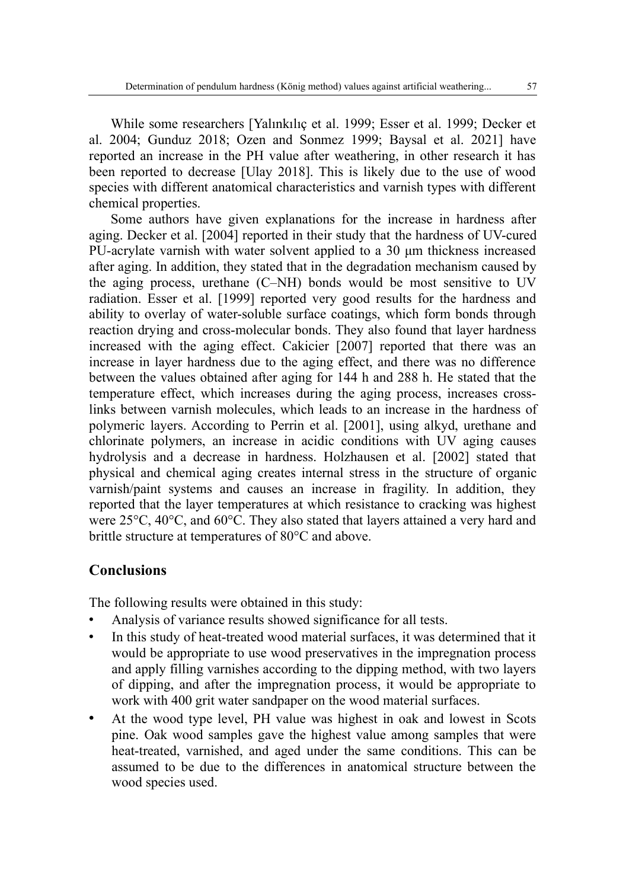While some researchers [Yalınkılıç et al. 1999; Esser et al. 1999; Decker et al. 2004; Gunduz 2018; Ozen and Sonmez 1999; Baysal et al. 2021] have reported an increase in the PH value after weathering, in other research it has been reported to decrease [Ulay 2018]. This is likely due to the use of wood species with different anatomical characteristics and varnish types with different chemical properties.

Some authors have given explanations for the increase in hardness after aging. Decker et al. [2004] reported in their study that the hardness of UV-cured PU-acrylate varnish with water solvent applied to a 30 μm thickness increased after aging. In addition, they stated that in the degradation mechanism caused by the aging process, urethane (C–NH) bonds would be most sensitive to UV radiation. Esser et al. [1999] reported very good results for the hardness and ability to overlay of water-soluble surface coatings, which form bonds through reaction drying and cross-molecular bonds. They also found that layer hardness increased with the aging effect. Cakicier [2007] reported that there was an increase in layer hardness due to the aging effect, and there was no difference between the values obtained after aging for 144 h and 288 h. He stated that the temperature effect, which increases during the aging process, increases crosslinks between varnish molecules, which leads to an increase in the hardness of polymeric layers. According to Perrin et al. [2001], using alkyd, urethane and chlorinate polymers, an increase in acidic conditions with UV aging causes hydrolysis and a decrease in hardness. Holzhausen et al. [2002] stated that physical and chemical aging creates internal stress in the structure of organic varnish/paint systems and causes an increase in fragility. In addition, they reported that the layer temperatures at which resistance to cracking was highest were 25°C, 40°C, and 60°C. They also stated that layers attained a very hard and brittle structure at temperatures of 80°C and above.

### **Conclusions**

The following results were obtained in this study:

- Analysis of variance results showed significance for all tests.
- In this study of heat-treated wood material surfaces, it was determined that it would be appropriate to use wood preservatives in the impregnation process and apply filling varnishes according to the dipping method, with two layers of dipping, and after the impregnation process, it would be appropriate to work with 400 grit water sandpaper on the wood material surfaces.
- At the wood type level, PH value was highest in oak and lowest in Scots pine. Oak wood samples gave the highest value among samples that were heat-treated, varnished, and aged under the same conditions. This can be assumed to be due to the differences in anatomical structure between the wood species used.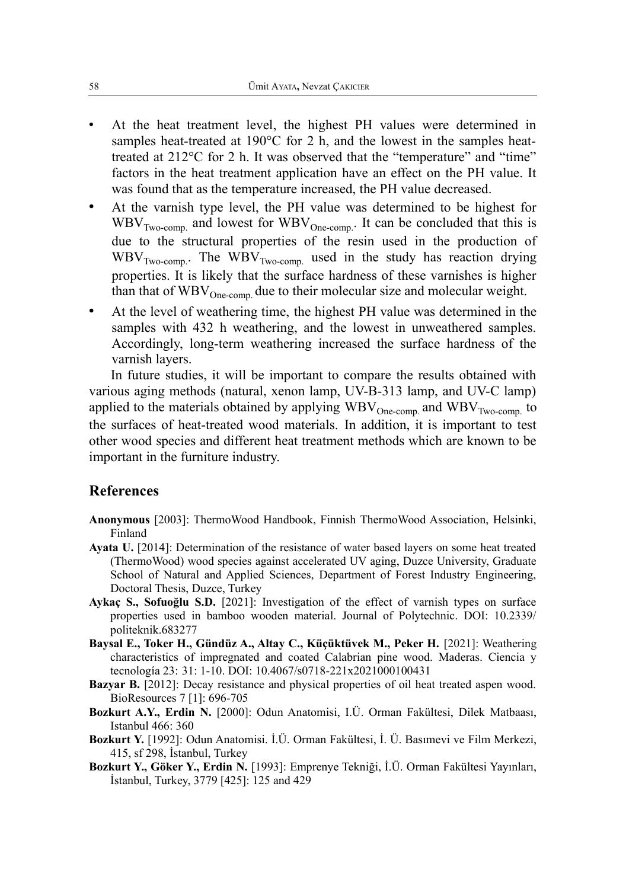- At the heat treatment level, the highest PH values were determined in samples heat-treated at 190°C for 2 h, and the lowest in the samples heattreated at 212°C for 2 h. It was observed that the "temperature" and "time" factors in the heat treatment application have an effect on the PH value. It was found that as the temperature increased, the PH value decreased.
- At the varnish type level, the PH value was determined to be highest for  $WBV_{Two\text{-comp.}}$  and lowest for  $WBV_{One\text{-comp.}}$  It can be concluded that this is due to the structural properties of the resin used in the production of  $WBV<sub>Two-comp.</sub>$ . The  $WBV<sub>Two-comp.</sub>$  used in the study has reaction drying properties. It is likely that the surface hardness of these varnishes is higher than that of  $WBV_{One-comp.}$  due to their molecular size and molecular weight.
- At the level of weathering time, the highest PH value was determined in the samples with 432 h weathering, and the lowest in unweathered samples. Accordingly, long-term weathering increased the surface hardness of the varnish layers.

In future studies, it will be important to compare the results obtained with various aging methods (natural, xenon lamp, UV-B-313 lamp, and UV-C lamp) applied to the materials obtained by applying  $WBV_{One-comp.}$  and  $WBV_{Two-comp.}$  to the surfaces of heat-treated wood materials. In addition, it is important to test other wood species and different heat treatment methods which are known to be important in the furniture industry.

#### **References**

- **Anonymous** [2003]: ThermoWood Handbook, Finnish ThermoWood Association, Helsinki, Finland
- **Ayata U.** [2014]: Determination of the resistance of water based layers on some heat treated (ThermoWood) wood species against accelerated UV aging, Duzce University, Graduate School of Natural and Applied Sciences, Department of Forest Industry Engineering, Doctoral Thesis, Duzce, Turkey
- **Aykaç S., Sofuoğlu S.D.** [2021]: Investigation of the effect of varnish types on surface properties used in bamboo wooden material. Journal of Polytechnic. DOI: 10.2339/ politeknik.683277
- **Baysal E., Toker H., Gündüz A., Altay C., Küçüktüvek M., Peker H.** [2021]: Weathering characteristics of impregnated and coated Calabrian pine wood. Maderas. Ciencia y tecnología 23: 31: 1-10. DOI: 10.4067/s0718-221x2021000100431
- **Bazyar B.** [2012]: Decay resistance and physical properties of oil heat treated aspen wood. BioResources 7 [1]: 696-705
- **Bozkurt A.Y., Erdin N.** [2000]: Odun Anatomisi, I.Ü. Orman Fakültesi, Dilek Matbaası, Istanbul 466: 360
- **Bozkurt Y.** [1992]: Odun Anatomisi. İ.Ü. Orman Fakültesi, İ. Ü. Basımevi ve Film Merkezi, 415, sf 298, İstanbul, Turkey
- **Bozkurt Y., Göker Y., Erdin N.** [1993]: Emprenye Tekniği, İ.Ü. Orman Fakültesi Yayınları, İstanbul, Turkey, 3779 [425]: 125 and 429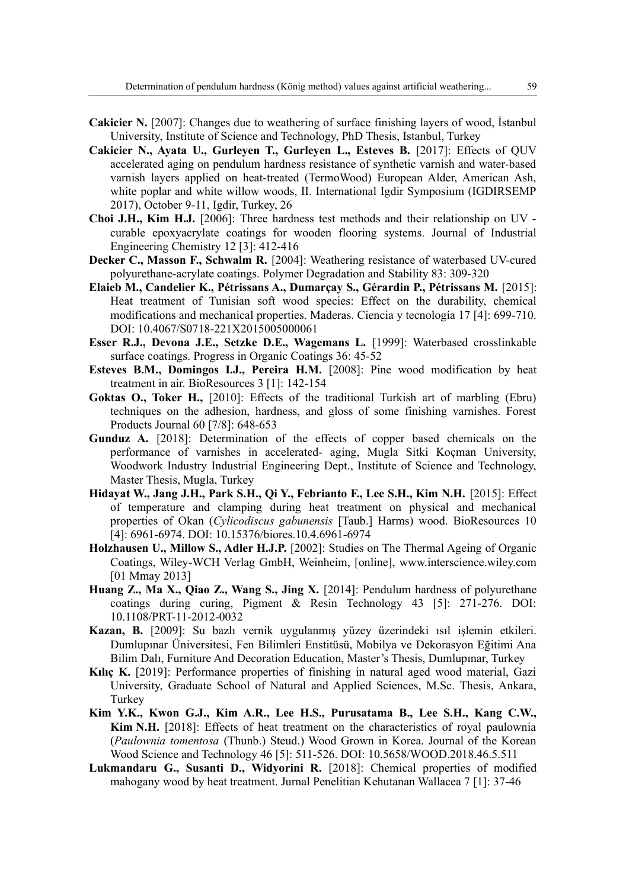- **Cakicier N.** [2007]: Changes due to weathering of surface finishing layers of wood, İstanbul University, Institute of Science and Technology, PhD Thesis, Istanbul, Turkey
- **Cakicier N., Ayata U., Gurleyen T., Gurleyen L., Esteves B.** [2017]: Effects of QUV accelerated aging on pendulum hardness resistance of synthetic varnish and water-based varnish layers applied on heat-treated (TermoWood) European Alder, American Ash, white poplar and white willow woods, II. International Igdir Symposium (IGDIRSEMP 2017), October 9-11, Igdir, Turkey, 26
- **Choi J.H., Kim H.J.** [2006]: Three hardness test methods and their relationship on UV curable epoxyacrylate coatings for wooden flooring systems. Journal of Industrial Engineering Chemistry 12 [3]: 412-416
- **Decker C., Masson F., Schwalm R.** [2004]: Weathering resistance of waterbased UV-cured polyurethane-acrylate coatings. Polymer Degradation and Stability 83: 309-320
- **Elaieb M., Candelier K., Pétrissans A., Dumarçay S., Gérardin P., Pétrissans M.** [2015]: Heat treatment of Tunisian soft wood species: Effect on the durability, chemical modifications and mechanical properties. Maderas. Ciencia y tecnología 17 [4]: 699-710. DOI: 10.4067/S0718-221X2015005000061
- **Esser R.J., Devona J.E., Setzke D.E., Wagemans L.** [1999]: Waterbased crosslinkable surface coatings. Progress in Organic Coatings 36: 45-52
- **Esteves B.M., Domingos I.J., Pereira H.M.** [2008]: Pine wood modification by heat treatment in air. BioResources 3 [1]: 142-154
- **Goktas O., Toker H.,** [2010]: Effects of the traditional Turkish art of marbling (Ebru) techniques on the adhesion, hardness, and gloss of some finishing varnishes. Forest Products Journal 60 [7/8]: 648-653
- **Gunduz A.** [2018]: Determination of the effects of copper based chemicals on the performance of varnishes in accelerated- aging, Mugla Sitki Koçman University, Woodwork Industry Industrial Engineering Dept., Institute of Science and Technology, Master Thesis, Mugla, Turkey
- **Hidayat W., Jang J.H., Park S.H., Qi Y., Febrianto F., Lee S.H., Kim N.H.** [2015]: Effect of temperature and clamping during heat treatment on physical and mechanical properties of Okan (*Cylicodiscus gabunensis* [Taub.] Harms) wood. BioResources 10 [4]: 6961-6974. DOI: 10.15376/biores.10.4.6961-6974
- Holzhausen U., Millow S., Adler H.J.P. [2002]: Studies on The Thermal Ageing of Organic Coatings, Wiley-WCH Verlag GmbH, Weinheim, [online], www.interscience.wiley.com [01 Mmay 2013]
- **Huang Z., Ma X., Qiao Z., Wang S., Jing X.** [2014]: Pendulum hardness of polyurethane coatings during curing, Pigment & Resin Technology 43 [5]: 271-276. DOI: 10.1108/PRT-11-2012-0032
- **Kazan, B.** [2009]: Su bazlı vernik uygulanmış yüzey üzerindeki ısıl işlemin etkileri. Dumlupınar Üniversitesi, Fen Bilimleri Enstitüsü, Mobilya ve Dekorasyon Eğitimi Ana Bilim Dalı, Furniture And Decoration Education, Master's Thesis, Dumlupınar, Turkey
- **Kılıç K.** [2019]: Performance properties of finishing in natural aged wood material, Gazi University, Graduate School of Natural and Applied Sciences, M.Sc. Thesis, Ankara, **Turkey**
- **Kim Y.K., Kwon G.J., Kim A.R., Lee H.S., Purusatama B., Lee S.H., Kang C.W., Kim N.H.** [2018]: Effects of heat treatment on the characteristics of royal paulownia (*Paulownia tomentosa* (Thunb.) Steud.) Wood Grown in Korea. Journal of the Korean Wood Science and Technology 46 [5]: 511-526. DOI: 10.5658/WOOD.2018.46.5.511
- **Lukmandaru G., Susanti D., Widyorini R.** [2018]: Chemical properties of modified mahogany wood by heat treatment. Jurnal Penelitian Kehutanan Wallacea 7 [1]: 37-46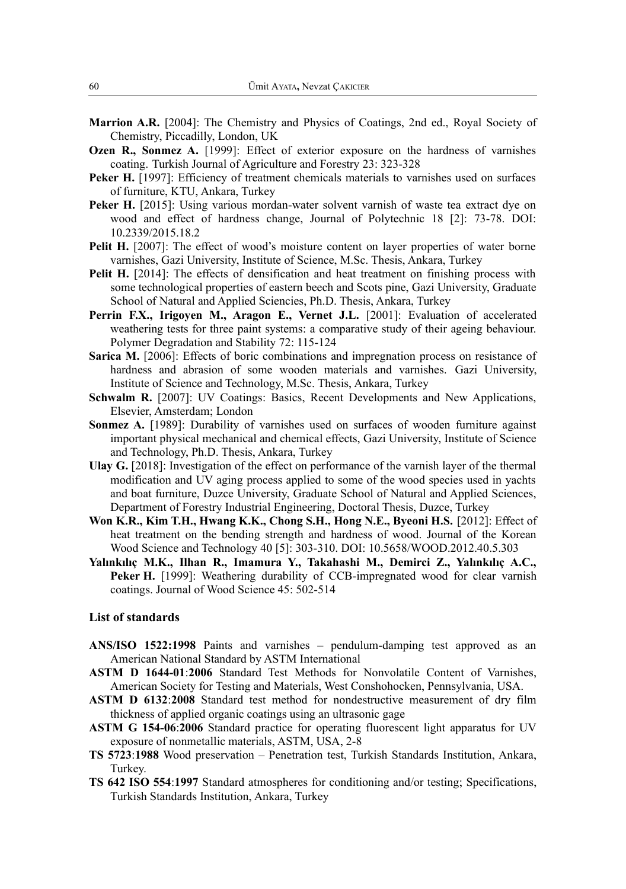- **Marrion A.R.** [2004]: The Chemistry and Physics of Coatings, 2nd ed., Royal Society of Chemistry, Piccadilly, London, UK
- **Ozen R., Sonmez A.** [1999]: Effect of exterior exposure on the hardness of varnishes coating. Turkish Journal of Agriculture and Forestry 23: 323-328
- Peker H. [1997]: Efficiency of treatment chemicals materials to varnishes used on surfaces of furniture, KTU, Ankara, Turkey
- **Peker H.** [2015]: Using various mordan-water solvent varnish of waste tea extract dye on wood and effect of hardness change, Journal of Polytechnic 18 [2]: 73-78. DOI: 10.2339/2015.18.2
- **Pelit H.** [2007]: The effect of wood's moisture content on layer properties of water borne varnishes, Gazi University, Institute of Science, M.Sc. Thesis, Ankara, Turkey
- **Pelit H.** [2014]: The effects of densification and heat treatment on finishing process with some technological properties of eastern beech and Scots pine, Gazi University, Graduate School of Natural and Applied Sciencies, Ph.D. Thesis, Ankara, Turkey
- Perrin F.X., Irigoyen M., Aragon E., Vernet J.L. [2001]: Evaluation of accelerated weathering tests for three paint systems: a comparative study of their ageing behaviour. Polymer Degradation and Stability 72: 115-124
- **Sarica M.** [2006]: Effects of boric combinations and impregnation process on resistance of hardness and abrasion of some wooden materials and varnishes. Gazi University, Institute of Science and Technology, M.Sc. Thesis, Ankara, Turkey
- **Schwalm R.** [2007]: UV Coatings: Basics, Recent Developments and New Applications, Elsevier, Amsterdam; London
- **Sonmez A.** [1989]: Durability of varnishes used on surfaces of wooden furniture against important physical mechanical and chemical effects, Gazi University, Institute of Science and Technology, Ph.D. Thesis, Ankara, Turkey
- **Ulay G.** [2018]: Investigation of the effect on performance of the varnish layer of the thermal modification and UV aging process applied to some of the wood species used in yachts and boat furniture, Duzce University, Graduate School of Natural and Applied Sciences, Department of Forestry Industrial Engineering, Doctoral Thesis, Duzce, Turkey
- **Won K.R., Kim T.H., Hwang K.K., Chong S.H., Hong N.E., Byeoni H.S.** [2012]: Effect of heat treatment on the bending strength and hardness of wood. Journal of the Korean Wood Science and Technology 40 [5]: 303-310. DOI: 10.5658/WOOD.2012.40.5.303
- **Yalınkılıç M.K., Ilhan R., Imamura Y., Takahashi M., Demirci Z., Yalınkılıç A.C., Peker H.** [1999]: Weathering durability of CCB-impregnated wood for clear varnish coatings. Journal of Wood Science 45: 502-514

#### **List of standards**

- **ANS/ISO 1522:1998** Paints and varnishes pendulum-damping test approved as an American National Standard by ASTM International
- **ASTM D 1644-01**:**2006** Standard Test Methods for Nonvolatile Content of Varnishes, American Society for Testing and Materials, West Conshohocken, Pennsylvania, USA.
- **ASTM D 6132**:**2008** Standard test method for nondestructive measurement of dry film thickness of applied organic coatings using an ultrasonic gage
- **ASTM G 154-06**:**2006** Standard practice for operating fluorescent light apparatus for UV exposure of nonmetallic materials, ASTM, USA, 2-8
- **TS 5723**:**1988** Wood preservation Penetration test, Turkish Standards Institution, Ankara, Turkey.
- **TS 642 ISO 554**:**1997** Standard atmospheres for conditioning and/or testing; Specifications, Turkish Standards Institution, Ankara, Turkey